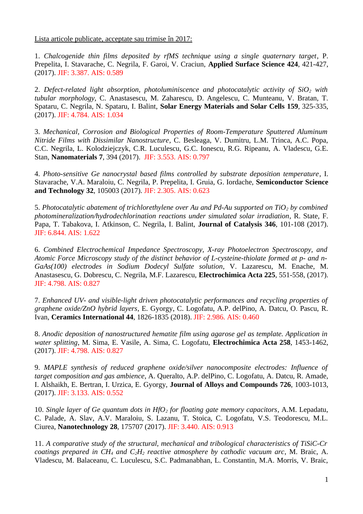Lista articole publicate, acceptate sau trimise în 2017:

1. *Chalcogenide thin films deposited by rfMS technique using a single quaternary target*, P. Prepelita, I. Stavarache, C. Negrila, F. Garoi, V. Craciun, **Applied Surface Science 424**, 421-427, (2017). JIF: 3.387. AIS: 0.589

2. *Defect-related light absorption, photoluminiscence and photocatalytic activity of SiO2 with tubular morphology,* C. Anastasescu, M. Zaharescu, D. Angelescu, C. Munteanu, V. Bratan, T. Spataru, C. Negrila, N. Spataru, I. Balint, **Solar Energy Materials and Solar Cells 159**, 325-335, (2017). JIF: 4.784. AIS: 1.034

3. *Mechanical, Corrosion and Biological Properties of Room-Temperature Sputtered Aluminum Nitride Films with Dissimilar Nanostructure*, C. Besleaga, V. Dumitru, L.M. Trinca, A.C. Popa, C.C. Negrila, L. Kolodziejczyk, C.R. Luculescu, G.C. Ionescu, R.G. Ripeanu, A. Vladescu, G.E. Stan, **Nanomaterials 7**, 394 (2017). JIF: 3.553. AIS: 0.797

4. *Photo-sensitive Ge nanocrystal based films controlled by substrate deposition temperature*, I. Stavarache, V.A. Maraloiu, C. Negrila, P. Prepelita, I. Gruia, G. Iordache, **Semiconductor Science and Technology 32**, 105003 (2017). JIF: 2.305. AIS: 0.623

5. *Photocatalytic abatement of trichlorethylene over Au and Pd-Au supported on TiO2 by combined photomineralization/hydrodechlorination reactions under simulated solar irradiation*, R. State, F. Papa, T. Tabakova, I. Atkinson, C. Negrila, I. Balint, **Journal of Catalysis 346**, 101-108 (2017). JIF: 6.844. AIS: 1.622

6. *Combined Electrochemical Impedance Spectroscopy, X-ray Photoelectron Spectroscopy, and Atomic Force Microscopy study of the distinct behavior of L-cysteine-thiolate formed at p- and n-GaAs(100) electrodes in Sodium Dodecyl Sulfate solution*, V. Lazarescu, M. Enache, M. Anastasescu, G. Dobrescu, C. Negrila, M.F. Lazarescu, **Electrochimica Acta 225**, 551-558, (2017). JIF: 4.798. AIS: 0.827

7. *Enhanced UV- and visible-light driven photocatalytic performances and recycling properties of graphene oxide/ZnO hybrid layers*, E. Gyorgy, C. Logofatu, A.P. delPino, A. Datcu, O. Pascu, R. Ivan, **Ceramics International 44**, 1826-1835 (2018). JIF: 2.986. AIS: 0.460

8. *Anodic deposition of nanostructured hematite film using agarose gel as template. Application in water splitting*, M. Sima, E. Vasile, A. Sima, C. Logofatu, **Electrochimica Acta 258**, 1453-1462, (2017). JIF: 4.798. AIS: 0.827

9. *MAPLE synthesis of reduced graphene oxide/silver nanocomposite electrodes: Influence of target composition and gas ambience*, A. Queralto, A.P. delPino, C. Logofatu, A. Datcu, R. Amade, I. Alshaikh, E. Bertran, I. Urzica, E. Gyorgy, **Journal of Alloys and Compounds 726**, 1003-1013, (2017). JIF: 3.133. AIS: 0.552

10. *Single layer of Ge quantum dots in HfO2 for floating gate memory capacitors*, A.M. Lepadatu, C. Palade, A. Slav, A.V. Maraloiu, S. Lazanu, T. Stoica, C. Logofatu, V.S. Teodorescu, M.L. Ciurea, **Nanotechnology 28**, 175707 (2017). JIF: 3.440. AIS: 0.913

11. *A comparative study of the structural, mechanical and tribological characteristics of TiSiC-Cr coatings prepared in CH4 and C2H2 reactive atmosphere by cathodic vacuum arc*, M. Braic, A. Vladescu, M. Balaceanu, C. Luculescu, S.C. Padmanabhan, L. Constantin, M.A. Morris, V. Braic,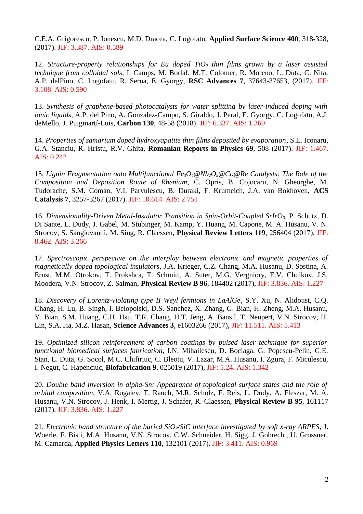C.E.A. Grigorescu, P. Ionescu, M.D. Dracea, C. Logofatu, **Applied Surface Science 400**, 318-328, (2017). JIF: 3.387. AIS: 0.589

12. *Structure-property relationships for Eu doped TiO2 thin films grown by a laser assisted technique from colloidal sols*, I. Camps, M. Borlaf, M.T. Colomer, R. Moreno, L. Duta, C. Nita, A.P. delPino, C. Logofatu, R. Serna, E. Gyorgy, **RSC Advances 7**, 37643-37653, (2017). JIF: 3.108. AIS: 0.590

13. *Synthesis of graphene-based photocatalysts for water splitting by laser-induced doping with ionic liquids*, A.P. del Pino, A. Gonzalez-Campo, S. Giraldo, J. Peral, E. Gyorgy, C. Logofatu, A.J. deMello, J. Puigmartí-Luis, **Carbon 130**, 48-58 (2018). JIF: 6.337. AIS: 1.369

14. *Properties of samarium doped hydroxyapatite thin films deposited by evaporation*, S.L. Iconaru, G.A. Stanciu, R. Hristu, R.V. Ghita, **Romanian Reports in Physics 69**, 508 (2017). JIF: 1.467. AIS: 0.242

15. *Lignin Fragmentation onto Multifunctional Fe3O4@Nb2O5@Co@Re Catalysts: The Role of the Composition and Deposition Route of Rhenium*, C. Opris, B. Cojocaru, N. Gheorghe, M. Tudorache, S.M. Coman, V.I. Parvulescu, B. Duraki, F. Krumeich, J.A. van Bokhoven, **ACS Catalysis 7**, 3257-3267 (2017). JIF: 10.614. AIS: 2.751

16. *Dimensionality-Driven Metal-Insulator Transition in Spin-Orbit-Coupled SrIrO3*, P. Schutz, D. Di Sante, L. Dudy, J. Gabel, M. Stubinger, M. Kamp, Y. Huang, M. Capone, M. A. Husanu, V. N. Strocov, S. Sangiovanni, M. Sing, R. Claessen, **Physical Review Letters 119**, 256404 (2017), JIF: 8.462. AIS: 3.266

17. *Spectroscopic perspective on the interplay between electronic and magnetic properties of magnetically doped topological insulators*, J.A. Krieger, C.Z. Chang, M.A. Husanu, D. Sostina, A. Ernst, M.M. Otrokov, T. Prokshca, T. Schmitt, A. Suter, M.G. Vergniory, E.V. Chulkov, J.S. Moodera, V.N. Strocov, Z. Salman, **Physical Review B 96**, 184402 (2017), JIF: 3.836. AIS: 1.227

18. *Discovery of Lorentz-violating type II Weyl fermions in LaAlGe*, S.Y. Xu, N. Alidoust, C.Q. Chang, H. Lu, B. Singh, I. Belopolski, D.S. Sanchez, X. Zhang, G. Bian, H. Zheng, M.A. Husanu, Y. Bian, S.M. Huang, C.H. Hsu, T.R. Chang, H.T. Jeng, A. Bansil, T. Neupert, V.N. Strocov, H. Lin, S.A. Jia, M.Z. Hasan, **Science Advances 3**, e1603266 (2017), JIF: 11.511. AIS: 5.413

19. *Optimized silicon reinforcement of carbon coatings by pulsed laser technique for superior functional biomedical surfaces fabrication*, I.N. Mihailescu, D. Bociaga, G. Popescu-Pelin, G.E. Stan, L. Duta, G. Socol, M.C. Chifiriuc, C. Bleotu, V. Lazar, M.A. Husanu, I. Zgura, F. Miculescu, I. Negut, C. Hapenciuc, **Biofabrication 9**, 025019 (2017), JIF: 5.24. AIS: 1.342

20. *Double band inversion in alpha-Sn: Appearance of topological surface states and the role of orbital composition*, V.A. Rogalev, T. Rauch, M.R. Scholz, F. Reis, L. Dudy, A. Fleszar, M. A. Husanu, V.N. Strocov, J. Henk, I. Mertig, J. Schafer, R. Claessen, **Physical Review B 95**, 161117 (2017). JIF: 3.836. AIS: 1.227

21. *Electronic band structure of the buried SiO2/SiC interface investigated by soft x-ray ARPES*, J. Woerle, F. Bisti, M.A. Husanu, V.N. Strocov, C.W. Schneider, H. Sigg, J. Gobrecht, U. Grossner, M. Camarda, **Applied Physics Letters 110**, 132101 (2017). JIF: 3.411. AIS: 0.969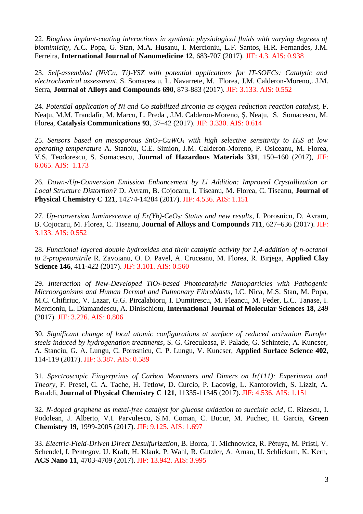22. *Bioglass implant-coating interactions in synthetic physiological fluids with varying degrees of biomimicity*, A.C. Popa, G. Stan, M.A. Husanu, I. Mercioniu, L.F. Santos, H.R. Fernandes, J.M. Ferreira, **International Journal of Nanomedicine 12**, 683-707 (2017). JIF: 4.3. AIS: 0.938

23. *Self-assembled (Ni/Cu, Ti)-YSZ with potential applications for IT-SOFCs: Catalytic and electrochemical assessment*, S. Somacescu, L. Navarrete, M. Florea, J.M. Calderon-Moreno,. J.M. Serra, **Journal of Alloys and Compounds 690**, 873-883 (2017). JIF: 3.133. AIS: 0.552

24. *Potential application of Ni and Co stabilized zirconia as oxygen reduction reaction catalyst,* F. Neațu, M.M. Trandafir, M. Marcu, L. Preda , J.M. Calderon-Moreno, Ș. Neațu, S. Somacescu, M. Florea, **Catalysis Communications 93**, 37–42 (2017). JIF: 3.330. AIS: 0.614

25. *Sensors based on mesoporous SnO2-CuWO4 with high selective sensitivity to H2S at low operating temperature* A. Stanoiu, C.E. Simion, J.M. Calderon-Moreno, P. Osiceanu, M. Florea, V.S. Teodorescu, S. Somacescu, **Journal of Hazardous Materials 331**, 150–160 (2017), JIF: 6.065. AIS: 1.173

26. *Down-/Up-Conversion Emission Enhancement by Li Addition: Improved Crystallization or Local Structure Distortion?* D. Avram, B. Cojocaru, I. Tiseanu, M. Florea, C. Tiseanu, **Journal of Physical Chemistry C 121**, 14274-14284 (2017). JIF: 4.536. AIS: 1.151

27. *Up-conversion luminescence of Er(Yb)-CeO2: Status and new results*, I. Porosnicu, D. Avram, B. Cojocaru, M. Florea, C. Tiseanu, **Journal of Alloys and Compounds 711**, 627–636 (2017). JIF: 3.133. AIS: 0.552

28. *Functional layered double hydroxides and their catalytic activity for 1,4-addition of n-octanol to 2-propenonitrile* R. Zavoianu, O. D. Pavel, A. Cruceanu, M. Florea, R. Birjega, **Applied Clay Science 146**, 411-422 (2017). JIF: 3.101. AIS: 0.560

29. *Interaction of New-Developed TiO2-based Photocatalytic Nanoparticles with Pathogenic Microorganisms and Human Dermal and Pulmonary Fibroblasts*, I.C. Nica, M.S. Stan, M. Popa, M.C. Chifiriuc, V. Lazar, G.G. Pircalabioru, I. Dumitrescu, M. Fleancu, M. Feder, L.C. Tanase, I. Mercioniu, L. Diamandescu, A. Dinischiotu, **International Journal of Molecular Sciences 18**, 249 (2017). JIF: 3.226. AIS: 0.806

30. *Significant change of local atomic configurations at surface of reduced activation Eurofer steels induced by hydrogenation treatments*, S. G. Greculeasa, P. Palade, G. Schinteie, A. Kuncser, A. Stanciu, G. A. Lungu, C. Porosnicu, C. P. Lungu, V. Kuncser, **Applied Surface Science 402**, 114-119 (2017). JIF: 3.387. AIS: 0.589

31. *Spectroscopic Fingerprints of Carbon Monomers and Dimers on Ir(111): Experiment and Theory*, F. Presel, C. A. Tache, H. Tetlow, D. Curcio, P. Lacovig, L. Kantorovich, S. Lizzit, A. Baraldi, **Journal of Physical Chemistry C 121**, 11335-11345 (2017). JIF: 4.536. AIS: 1.151

32. *N-doped graphene as metal-free catalyst for glucose oxidation to succinic acid*, C. Rizescu, I. Podolean, J. Alberto, V.I. Parvulescu, S.M. Coman, C. Bucur, M. Puchec, H. Garcia, **Green Chemistry 19**, 1999-2005 (2017). JIF: 9.125. AIS: 1.697

33. *Electric-Field-Driven Direct Desulfurization*, B. Borca, T. Michnowicz, R. Pétuya, M. Pristl, V. Schendel, I. Pentegov, U. Kraft, H. Klauk, P. Wahl, R. Gutzler, A. Arnau, U. Schlickum, K. Kern, **ACS Nano 11**, 4703-4709 (2017). JIF: 13.942. AIS: 3.995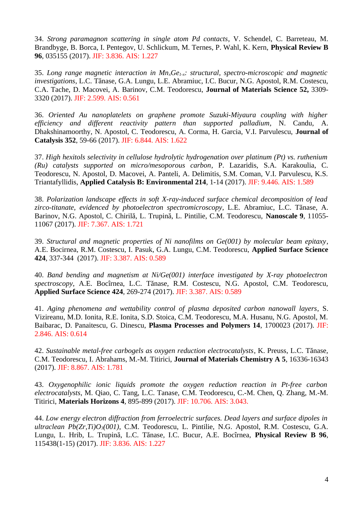34. *Strong paramagnon scattering in single atom Pd contacts*, V. Schendel, C. Barreteau, M. Brandbyge, B. Borca, I. Pentegov, U. Schlickum, M. Ternes, P. Wahl, K. Kern, **Physical Review B 96**, 035155 (2017). JIF: 3.836. AIS: 1.227

35. *Long range magnetic interaction in MnxGe1-x: structural, spectro-microscopic and magnetic investigations*, L.C. Tănase, G.A. Lungu, L.E. Abramiuc, I.C. Bucur, N.G. Apostol, R.M. Costescu, C.A. Tache, D. Macovei, A. Barinov, C.M. Teodorescu, **Journal of Materials Science 52,** 3309- 3320 (2017). JIF: 2.599. AIS: 0.561

36. *Oriented Au nanoplatelets on graphene promote Suzuki-Miyaura coupling with higher efficiency and different reactivity pattern than supported palladium*, N. Candu, A. Dhakshinamoorthy, N. Apostol, C. Teodorescu, A. Corma, H. Garcia, V.I. Parvulescu, **Journal of Catalysis 352**, 59-66 (2017). JIF: 6.844. AIS: 1.622

37. *High hexitols selectivity in cellulose hydrolytic hydrogenation over platinum (Pt) vs. ruthenium (Ru) catalysts supported on micro/mesoporous carbon*, P. Lazaridis, S.A. Karakoulia, C. Teodorescu, N. Apostol, D. Macovei, A. Panteli, A. Delimitis, S.M. Coman, V.I. Parvulescu, K.S. Triantafyllidis, **Applied Catalysis B: Environmental 214**, 1-14 (2017). JIF: 9.446. AIS: 1.589

38. *Polarization landscape effects in soft X-ray-induced surface chemical decomposition of lead zirco-titanate, evidenced by photoelectron spectromicroscopy*, L.E. Abramiuc, L.C. Tănase, A. Barinov, N.G. Apostol, C. Chirilă, L. Trupină, L. Pintilie, C.M. Teodorescu, **Nanoscale 9**, 11055- 11067 (2017). JIF: 7.367. AIS: 1.721

39. *Structural and magnetic properties of Ni nanofilms on Ge(001) by molecular beam epitaxy*, A.E. Bocirnea, R.M. Costescu, I. Pasuk, G.A. Lungu, C.M. Teodorescu, **Applied Surface Science 424**, 337-344 (2017). JIF: 3.387. AIS: 0.589

40. *Band bending and magnetism at Ni/Ge(001) interface investigated by X-ray photoelectron spectroscopy*, A.E. Bocîrnea, L.C. Tănase, R.M. Costescu, N.G. Apostol, C.M. Teodorescu, **Applied Surface Science 424**, 269-274 (2017). JIF: 3.387. AIS: 0.589

41. *Aging phenomena and wettability control of plasma deposited carbon nanowall layers*, S. Vizireanu, M.D. Ionita, R.E. Ionita, S.D. Stoica, C.M. Teodorescu, M.A. Husanu, N.G. Apostol, M. Baibarac, D. Panaitescu, G. Dinescu, **Plasma Processes and Polymers 14**, 1700023 (2017). JIF: 2.846. AIS: 0.614

42. *Sustainable metal-free carbogels as oxygen reduction electrocatalysts*, K. Preuss, L.C. Tănase, C.M. Teodorescu, I. Abrahams, M.-M. Titirici, **Journal of Materials Chemistry A 5**, 16336-16343 (2017). JIF: 8.867. AIS: 1.781

43. *Oxygenophilic ionic liquids promote the oxygen reduction reaction in Pt-free carbon electrocatalysts*, M. Qiao, C. Tang, L.C. Tanase, C.M. Teodorescu, C.-M. Chen, Q. Zhang, M.-M. Titirici, **Materials Horizons 4**, 895-899 (2017). JIF: 10.706. AIS: 3.043.

44. *Low energy electron diffraction from ferroelectric surfaces. Dead layers and surface dipoles in ultraclean Pb(Zr,Ti)O3(001)*, C.M. Teodorescu, L. Pintilie, N.G. Apostol, R.M. Costescu, G.A. Lungu, L. Hrib, L. Trupină, L.C. Tănase, I.C. Bucur, A.E. Bocîrnea, **Physical Review B 96**, 115438(1-15) (2017). JIF: 3.836. AIS: 1.227